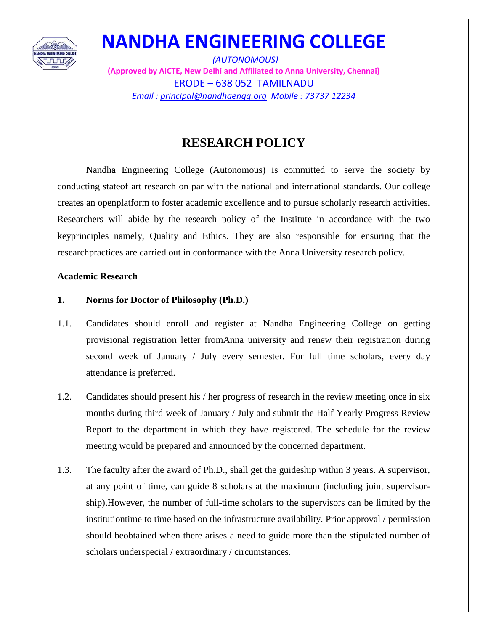

*(AUTONOMOUS)* **(Approved by AICTE, New Delhi and Affiliated to Anna University, Chennai)** ERODE – 638 052 TAMILNADU *Email : principal@nandhaengg.org Mobile : 73737 12234*

### **RESEARCH POLICY**

Nandha Engineering College (Autonomous) is committed to serve the society by conducting stateof art research on par with the national and international standards. Our college creates an openplatform to foster academic excellence and to pursue scholarly research activities. Researchers will abide by the research policy of the Institute in accordance with the two keyprinciples namely, Quality and Ethics. They are also responsible for ensuring that the researchpractices are carried out in conformance with the Anna University research policy.

#### **Academic Research**

#### **1. Norms for Doctor of Philosophy (Ph.D.)**

- 1.1. Candidates should enroll and register at Nandha Engineering College on getting provisional registration letter fromAnna university and renew their registration during second week of January / July every semester. For full time scholars, every day attendance is preferred.
- 1.2. Candidates should present his / her progress of research in the review meeting once in six months during third week of January / July and submit the Half Yearly Progress Review Report to the department in which they have registered. The schedule for the review meeting would be prepared and announced by the concerned department.
- 1.3. The faculty after the award of Ph.D., shall get the guideship within 3 years. A supervisor, at any point of time, can guide 8 scholars at the maximum (including joint supervisorship).However, the number of full-time scholars to the supervisors can be limited by the institutiontime to time based on the infrastructure availability. Prior approval / permission should beobtained when there arises a need to guide more than the stipulated number of scholars underspecial / extraordinary / circumstances.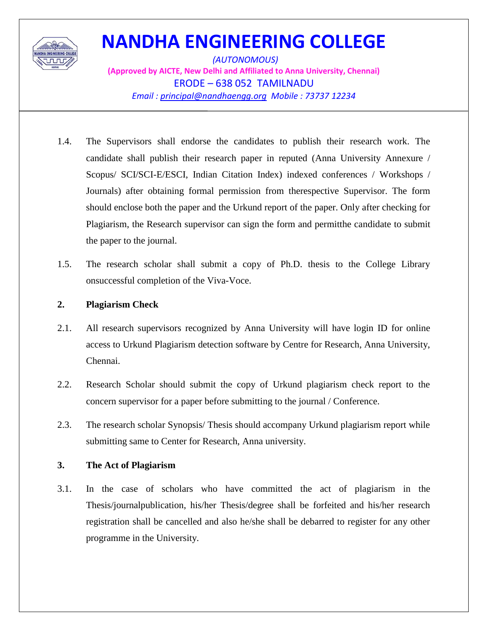

*(AUTONOMOUS)* **(Approved by AICTE, New Delhi and Affiliated to Anna University, Chennai)** ERODE – 638 052 TAMILNADU *Email : principal@nandhaengg.org Mobile : 73737 12234*

- 1.4. The Supervisors shall endorse the candidates to publish their research work. The candidate shall publish their research paper in reputed (Anna University Annexure / Scopus/ SCI/SCI-E/ESCI, Indian Citation Index) indexed conferences / Workshops / Journals) after obtaining formal permission from therespective Supervisor. The form should enclose both the paper and the Urkund report of the paper. Only after checking for Plagiarism, the Research supervisor can sign the form and permitthe candidate to submit the paper to the journal.
- 1.5. The research scholar shall submit a copy of Ph.D. thesis to the College Library onsuccessful completion of the Viva-Voce.

#### **2. Plagiarism Check**

- 2.1. All research supervisors recognized by Anna University will have login ID for online access to Urkund Plagiarism detection software by Centre for Research, Anna University, Chennai.
- 2.2. Research Scholar should submit the copy of Urkund plagiarism check report to the concern supervisor for a paper before submitting to the journal / Conference.
- 2.3. The research scholar Synopsis/ Thesis should accompany Urkund plagiarism report while submitting same to Center for Research, Anna university.

### **3. The Act of Plagiarism**

3.1. In the case of scholars who have committed the act of plagiarism in the Thesis/journalpublication, his/her Thesis/degree shall be forfeited and his/her research registration shall be cancelled and also he/she shall be debarred to register for any other programme in the University.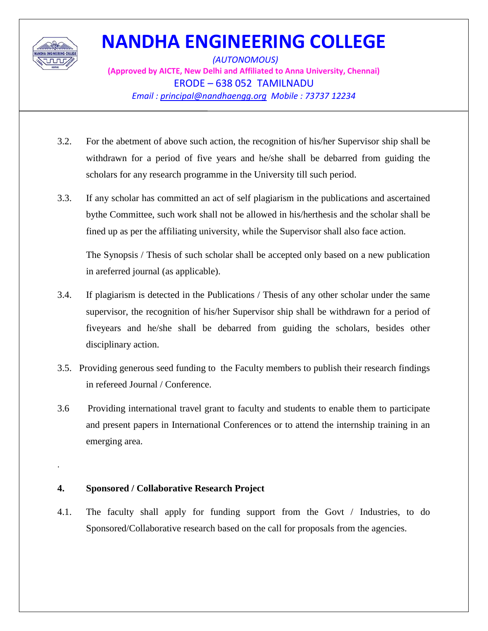

.

## **NANDHA ENGINEERING COLLEGE**

*(AUTONOMOUS)* **(Approved by AICTE, New Delhi and Affiliated to Anna University, Chennai)** ERODE – 638 052 TAMILNADU *Email : principal@nandhaengg.org Mobile : 73737 12234*

- 3.2. For the abetment of above such action, the recognition of his/her Supervisor ship shall be withdrawn for a period of five years and he/she shall be debarred from guiding the scholars for any research programme in the University till such period.
- 3.3. If any scholar has committed an act of self plagiarism in the publications and ascertained bythe Committee, such work shall not be allowed in his/herthesis and the scholar shall be fined up as per the affiliating university, while the Supervisor shall also face action.

The Synopsis / Thesis of such scholar shall be accepted only based on a new publication in areferred journal (as applicable).

- 3.4. If plagiarism is detected in the Publications / Thesis of any other scholar under the same supervisor, the recognition of his/her Supervisor ship shall be withdrawn for a period of fiveyears and he/she shall be debarred from guiding the scholars, besides other disciplinary action.
- 3.5. Providing generous seed funding to the Faculty members to publish their research findings in refereed Journal / Conference.
- 3.6 Providing international travel grant to faculty and students to enable them to participate and present papers in International Conferences or to attend the internship training in an emerging area.

#### **4. Sponsored / Collaborative Research Project**

4.1. The faculty shall apply for funding support from the Govt / Industries, to do Sponsored/Collaborative research based on the call for proposals from the agencies.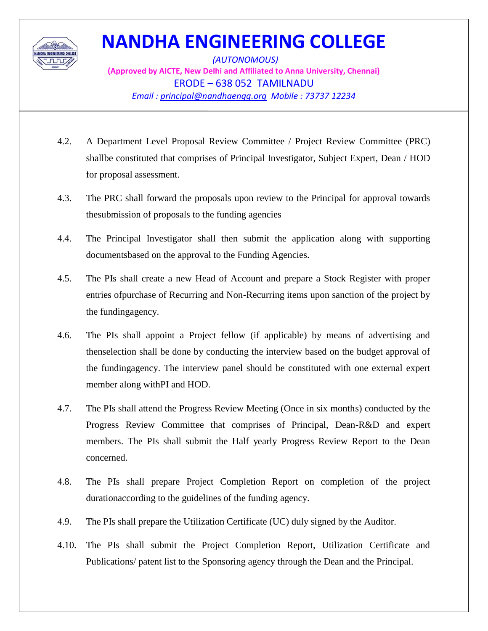

*(AUTONOMOUS)* **(Approved by AICTE, New Delhi and Affiliated to Anna University, Chennai)** ERODE – 638 052 TAMILNADU *Email : principal@nandhaengg.org Mobile : 73737 12234*

- 4.2. A Department Level Proposal Review Committee / Project Review Committee (PRC) shallbe constituted that comprises of Principal Investigator, Subject Expert, Dean / HOD for proposal assessment.
- 4.3. The PRC shall forward the proposals upon review to the Principal for approval towards thesubmission of proposals to the funding agencies
- 4.4. The Principal Investigator shall then submit the application along with supporting documentsbased on the approval to the Funding Agencies.
- 4.5. The PIs shall create a new Head of Account and prepare a Stock Register with proper entries ofpurchase of Recurring and Non-Recurring items upon sanction of the project by the fundingagency.
- 4.6. The PIs shall appoint a Project fellow (if applicable) by means of advertising and thenselection shall be done by conducting the interview based on the budget approval of the fundingagency. The interview panel should be constituted with one external expert member along withPI and HOD.
- 4.7. The PIs shall attend the Progress Review Meeting (Once in six months) conducted by the Progress Review Committee that comprises of Principal, Dean-R&D and expert members. The PIs shall submit the Half yearly Progress Review Report to the Dean concerned.
- 4.8. The PIs shall prepare Project Completion Report on completion of the project durationaccording to the guidelines of the funding agency.
- 4.9. The PIs shall prepare the Utilization Certificate (UC) duly signed by the Auditor.
- 4.10. The PIs shall submit the Project Completion Report, Utilization Certificate and Publications/ patent list to the Sponsoring agency through the Dean and the Principal.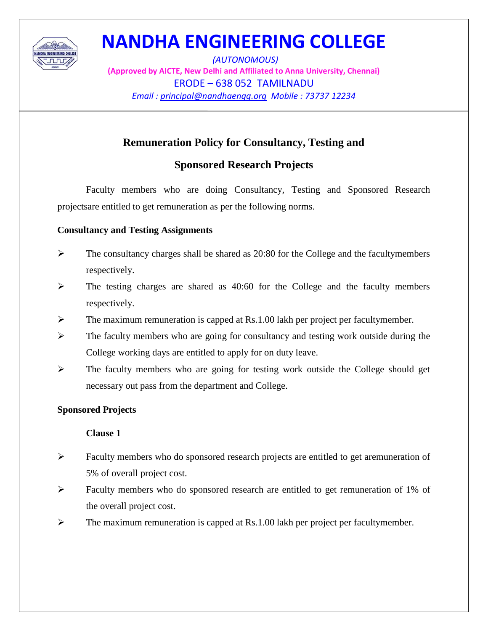

*(AUTONOMOUS)* **(Approved by AICTE, New Delhi and Affiliated to Anna University, Chennai)** ERODE – 638 052 TAMILNADU *Email : principal@nandhaengg.org Mobile : 73737 12234*

### **Remuneration Policy for Consultancy, Testing and**

### **Sponsored Research Projects**

Faculty members who are doing Consultancy, Testing and Sponsored Research projectsare entitled to get remuneration as per the following norms.

### **Consultancy and Testing Assignments**

- $\triangleright$  The consultancy charges shall be shared as 20:80 for the College and the facultymembers respectively.
- $\triangleright$  The testing charges are shared as 40:60 for the College and the faculty members respectively.
- $\triangleright$  The maximum remuneration is capped at Rs.1.00 lakh per project per facultymember.
- $\triangleright$  The faculty members who are going for consultancy and testing work outside during the College working days are entitled to apply for on duty leave.
- $\triangleright$  The faculty members who are going for testing work outside the College should get necessary out pass from the department and College.

### **Sponsored Projects**

### **Clause 1**

- $\triangleright$  Faculty members who do sponsored research projects are entitled to get aremuneration of 5% of overall project cost.
- $\triangleright$  Faculty members who do sponsored research are entitled to get remuneration of 1% of the overall project cost.
- $\triangleright$  The maximum remuneration is capped at Rs.1.00 lakh per project per facultymember.